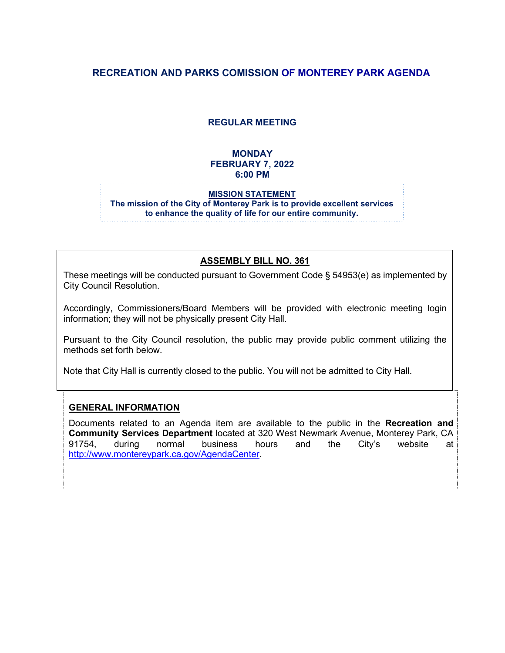# **RECREATION AND PARKS COMISSION OF MONTEREY PARK AGENDA**

## **REGULAR MEETING**

## **MONDAY FEBRUARY 7, 2022 6:00 PM**

#### **MISSION STATEMENT The mission of the City of Monterey Park is to provide excellent services to enhance the quality of life for our entire community.**

### **ASSEMBLY BILL NO. 361**

These meetings will be conducted pursuant to Government Code § 54953(e) as implemented by City Council Resolution.

Accordingly, Commissioners/Board Members will be provided with electronic meeting login information; they will not be physically present City Hall.

Pursuant to the City Council resolution, the public may provide public comment utilizing the methods set forth below.

Note that City Hall is currently closed to the public. You will not be admitted to City Hall.

### **GENERAL INFORMATION**

Documents related to an Agenda item are available to the public in the **Recreation and Community Services Department** located at 320 West Newmark Avenue, Monterey Park, CA 91754, during normal business hours and the City's website at [http://www.montereypark.ca.gov/AgendaCenter.](http://www.montereypark.ca.gov/AgendaCenter)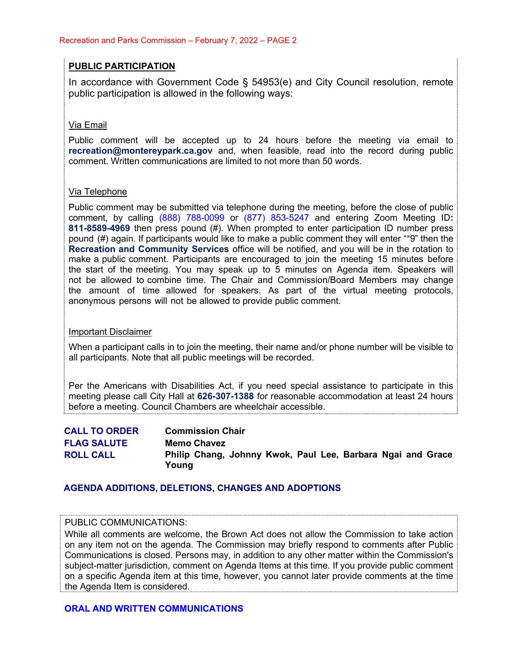## **PUBLIC PARTICIPATION**

In accordance with Government Code § 54953(e) and City Council resolution, remote public participation is allowed in the following ways:

### Via Email

Public comment will be accepted up to 24 hours before the meeting via email to **[recreation@montereypark.ca.gov](mailto:recreation@montereypark.ca.gov)** and, when feasible, read into the record during public comment. Written communications are limited to not more than 50 words.

### Via Telephone

Public comment may be submitted via telephone during the meeting, before the close of public comment, by calling (888) 788-0099 or (877) 853-5247 and entering Zoom Meeting ID**: 811-8589-4969** then press pound (#). When prompted to enter participation ID number press pound (#) again. If participants would like to make a public comment they will enter "\*9" then the **Recreation and Community Services** office will be notified, and you will be in the rotation to make a public comment. Participants are encouraged to join the meeting 15 minutes before the start of the meeting. You may speak up to 5 minutes on Agenda item. Speakers will not be allowed to combine time. The Chair and Commission/Board Members may change the amount of time allowed for speakers. As part of the virtual meeting protocols, anonymous persons will not be allowed to provide public comment.

### Important Disclaimer

When a participant calls in to join the meeting, their name and/or phone number will be visible to all participants. Note that all public meetings will be recorded.

Per the Americans with Disabilities Act, if you need special assistance to participate in this meeting please call City Hall at **626-307-1388** for reasonable accommodation at least 24 hours before a meeting. Council Chambers are wheelchair accessible.

| <b>CALL TO ORDER</b> | <b>Commission Chair</b>                                              |
|----------------------|----------------------------------------------------------------------|
| <b>FLAG SALUTE</b>   | <b>Memo Chavez</b>                                                   |
| <b>ROLL CALL</b>     | Philip Chang, Johnny Kwok, Paul Lee, Barbara Ngai and Grace<br>Young |

### **AGENDA ADDITIONS, DELETIONS, CHANGES AND ADOPTIONS**

#### PUBLIC COMMUNICATIONS:

While all comments are welcome, the Brown Act does not allow the Commission to take action on any item not on the agenda. The Commission may briefly respond to comments after Public Communications is closed. Persons may, in addition to any other matter within the Commission's subject-matter jurisdiction, comment on Agenda Items at this time. If you provide public comment on a specific Agenda item at this time, however, you cannot later provide comments at the time the Agenda Item is considered.

### **ORAL AND WRITTEN COMMUNICATIONS**